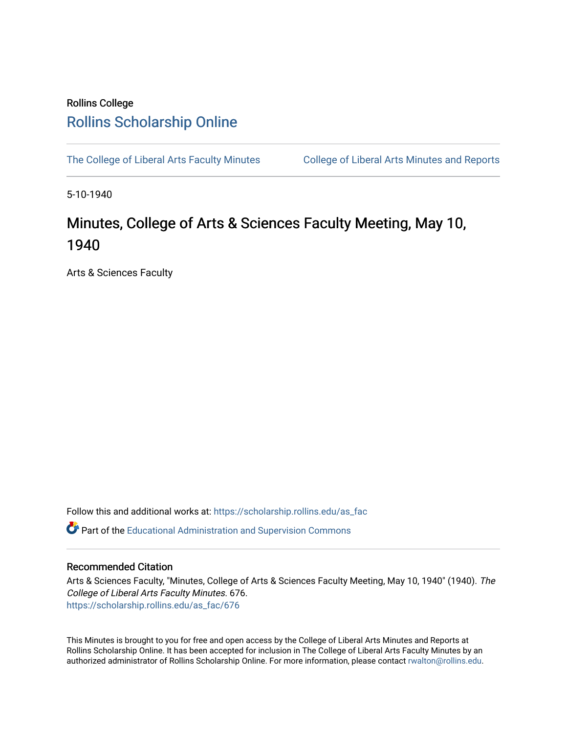## Rollins College [Rollins Scholarship Online](https://scholarship.rollins.edu/)

[The College of Liberal Arts Faculty Minutes](https://scholarship.rollins.edu/as_fac) College of Liberal Arts Minutes and Reports

5-10-1940

## Minutes, College of Arts & Sciences Faculty Meeting, May 10, 1940

Arts & Sciences Faculty

Follow this and additional works at: [https://scholarship.rollins.edu/as\\_fac](https://scholarship.rollins.edu/as_fac?utm_source=scholarship.rollins.edu%2Fas_fac%2F676&utm_medium=PDF&utm_campaign=PDFCoverPages) 

**P** Part of the [Educational Administration and Supervision Commons](http://network.bepress.com/hgg/discipline/787?utm_source=scholarship.rollins.edu%2Fas_fac%2F676&utm_medium=PDF&utm_campaign=PDFCoverPages)

## Recommended Citation

Arts & Sciences Faculty, "Minutes, College of Arts & Sciences Faculty Meeting, May 10, 1940" (1940). The College of Liberal Arts Faculty Minutes. 676. [https://scholarship.rollins.edu/as\\_fac/676](https://scholarship.rollins.edu/as_fac/676?utm_source=scholarship.rollins.edu%2Fas_fac%2F676&utm_medium=PDF&utm_campaign=PDFCoverPages) 

This Minutes is brought to you for free and open access by the College of Liberal Arts Minutes and Reports at Rollins Scholarship Online. It has been accepted for inclusion in The College of Liberal Arts Faculty Minutes by an authorized administrator of Rollins Scholarship Online. For more information, please contact [rwalton@rollins.edu](mailto:rwalton@rollins.edu).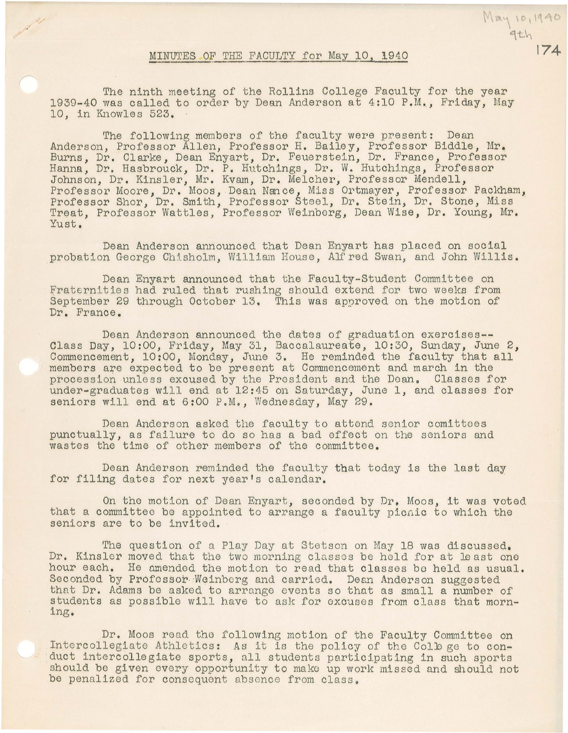## MINUTES OF THE FACULTY for May 10, 1940

 $May 10,1940$ <br>9th

,,

The ninth meeting of the Rollins College Faculty for the year 1939-40 was called to order by Dean Anderson at 4:10 P.M., Friday, May 10. in Knowles 523.

The following members of the faculty were present: Dean Anderson, Professor Allen, Professor H. Bailey, Professor Biddle, Mr. Burns, Dr. Clarke, Dean Enyart, Dr. Feuerstein, Dr. F'rance, Professor Hanna, Dr. Hasbrouck, Dr. P. Hutchings, Dr. W. Hutchings, Professor Johnson, Dr. Kinsler, Mr. Kvam, Dr. Melcher; Professor Mendell, Professor Moore, Dr. Moos, Dean Nance, Miss Ortmayer, Professor Packham, Professor Shor, Dr. Smith, Professor Steel, Dr. Stein, Dr. Stone, Miss Treat, Professor Wattles, Professor Weinberg, Dean Wise, Dr. Young, Mr. Yust,

Dean Anderson announced that Dean Enyart has placed on social probation George Chisholm, William House, Alf red Swan, and John Willis.

Dean Enyart announced that the Faculty-Student Committee on Fraternities had ruled that rushing should extend for two weeks from September 29 through October 13. This was approved on the motion of Dr. France,

Dean Anderson announced the dates of graduation exercises-- Class Day, 10:00, Friday, May 31, Baccalaureate, 10:30, Sunday, June 2, Commencement, 10:00, Monday, June 3. He reminded the faculty that all members are expected to be present at Commencement and march in the procession unless excused by the President and the Dean. Classes for under-graduates will end at 12:45 on Saturday, June 1, and classes for seniors will end at 6:00 P.M., Wednesday, May 29.

Dean Anderson asked the faculty to attend senior comittees punctually, as failure to do so has a bad effect on the seniors and wastes the time of other members of the committee.

Dean Anderson reminded the faculty that today is the last day for filing dates for next year's calendar.

On the motion of Dean Enyart, seconded by Dr. Moos, it was voted that a committee be appointed to arrange a faculty picuic to which the seniors are to be invited.

The question of a Play Day at Stetson on May 18 was discussed. Dr. Kinsler moved that the two morning classes be hold for at least one hour each. He amended the motion to read that classes be held as usual. Seconded by Professor Weinberg and carried. Dean Anderson suggested that Dr. Adams be asked to arrange events so that as small a number of students as possible will have to ask for excuses from class that morning .•

Dr. Moos read the following motion of the Faculty Committee on Intercollegiate Athletics: As it is the policy of the College to conduct intercollegiate sports, all students participating in such sports should be given every opportunity to mako up work missed and should not be penalized for consequent absence from class.